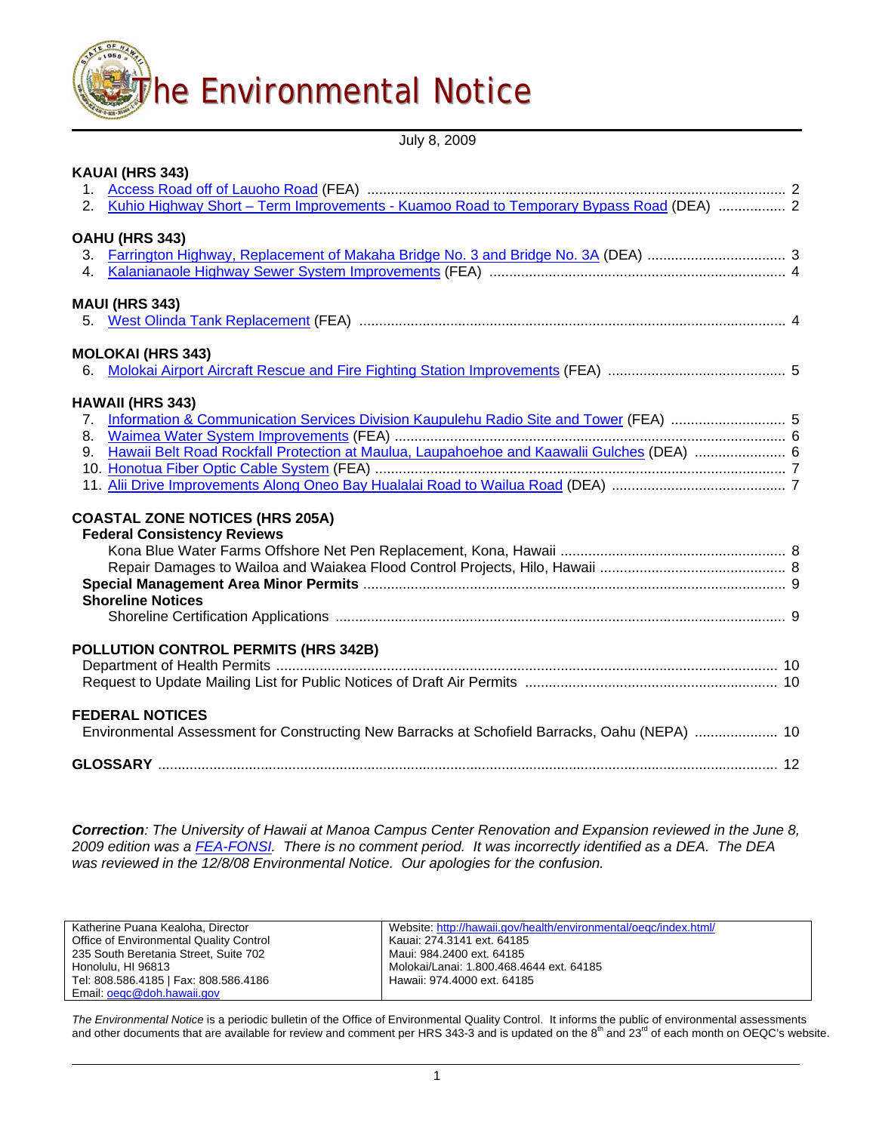

July 8, 2009

| KAUAI (HRS 343)                                                                               |  |
|-----------------------------------------------------------------------------------------------|--|
|                                                                                               |  |
| 2. Kuhio Highway Short - Term Improvements - Kuamoo Road to Temporary Bypass Road (DEA)  2    |  |
| OAHU (HRS 343)                                                                                |  |
|                                                                                               |  |
|                                                                                               |  |
| <b>MAUI (HRS 343)</b>                                                                         |  |
|                                                                                               |  |
| <b>MOLOKAI (HRS 343)</b>                                                                      |  |
|                                                                                               |  |
| <b>HAWAII (HRS 343)</b>                                                                       |  |
| 7. Information & Communication Services Division Kaupulehu Radio Site and Tower (FEA)  5      |  |
|                                                                                               |  |
| 9. Hawaii Belt Road Rockfall Protection at Maulua, Laupahoehoe and Kaawalii Gulches (DEA)  6  |  |
|                                                                                               |  |
|                                                                                               |  |
| <b>COASTAL ZONE NOTICES (HRS 205A)</b>                                                        |  |
| <b>Federal Consistency Reviews</b>                                                            |  |
|                                                                                               |  |
|                                                                                               |  |
|                                                                                               |  |
| <b>Shoreline Notices</b>                                                                      |  |
|                                                                                               |  |
| <b>POLLUTION CONTROL PERMITS (HRS 342B)</b>                                                   |  |
|                                                                                               |  |
|                                                                                               |  |
| <b>FEDERAL NOTICES</b>                                                                        |  |
| Environmental Assessment for Constructing New Barracks at Schofield Barracks, Oahu (NEPA)  10 |  |
|                                                                                               |  |
|                                                                                               |  |

*Correction: The University of Hawaii at Manoa Campus Center Renovation and Expansion reviewed in the June 8, 2009 edition was a [FEA-FONSI.](http://oeqc.doh.hawaii.gov/Shared%20Documents/EA_and_EIS_Online_Library/Oahu/2000s/2009-07-08-OA-FEA-UH-Manoa-Campus-Center.pdf) There is no comment period. It was incorrectly identified as a DEA. The DEA was reviewed in the 12/8/08 Environmental Notice. Our apologies for the confusion.* 

| Katherine Puana Kealoha, Director       | Website: http://hawaii.gov/health/environmental/oegc/index.html/ |
|-----------------------------------------|------------------------------------------------------------------|
| Office of Environmental Quality Control | Kauai: 274.3141 ext. 64185                                       |
| 235 South Beretania Street, Suite 702   | Maui: 984.2400 ext. 64185                                        |
| Honolulu. HI 96813                      | Molokai/Lanai: 1.800.468.4644 ext. 64185                         |
| Tel: 808.586.4185   Fax: 808.586.4186   | Hawaii: 974.4000 ext. 64185                                      |
| Email: oegc@doh.hawaii.gov              |                                                                  |

*The Environmental Notice* is a periodic bulletin of the Office of Environmental Quality Control. It informs the public of environmental assessments<br>and other documents that are available for review and comment per HRS 343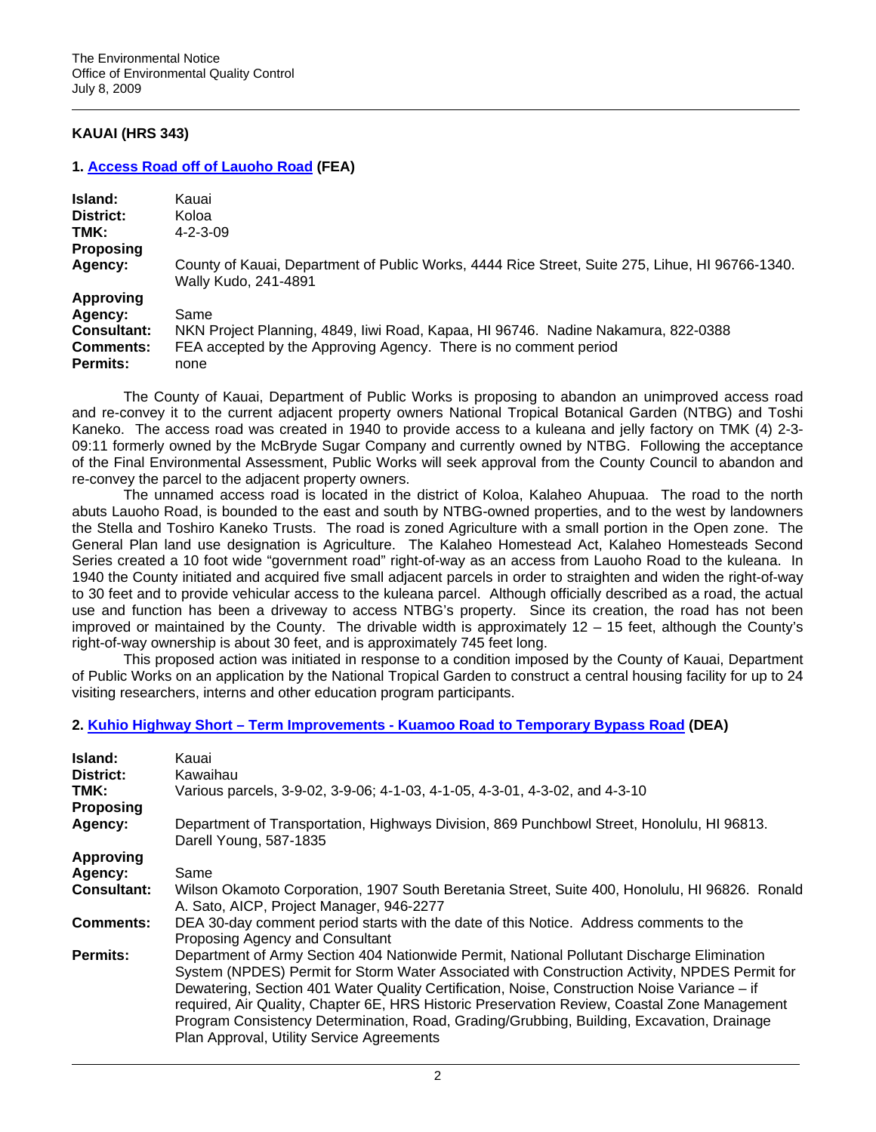# **KAUAI (HRS 343)**

#### **1. [Access Road off of Lauoho Road](http://oeqc.doh.hawaii.gov/Shared%20Documents/EA_and_EIS_Online_Library/Kauai/2000s/2009-07-08-KA-FEA-Lauoho-Road-Access.pdf) (FEA)**

| Island:<br>District:<br>TMK:<br><b>Proposing</b>                                         | Kauai<br>Koloa<br>$4 - 2 - 3 - 09$                                                                                                                                    |
|------------------------------------------------------------------------------------------|-----------------------------------------------------------------------------------------------------------------------------------------------------------------------|
| Agency:                                                                                  | County of Kauai, Department of Public Works, 4444 Rice Street, Suite 275, Lihue, HI 96766-1340.<br>Wally Kudo, 241-4891                                               |
| <b>Approving</b><br>Agency:<br><b>Consultant:</b><br><b>Comments:</b><br><b>Permits:</b> | Same<br>NKN Project Planning, 4849, liwi Road, Kapaa, HI 96746. Nadine Nakamura, 822-0388<br>FEA accepted by the Approving Agency. There is no comment period<br>none |

The County of Kauai, Department of Public Works is proposing to abandon an unimproved access road and re-convey it to the current adjacent property owners National Tropical Botanical Garden (NTBG) and Toshi Kaneko. The access road was created in 1940 to provide access to a kuleana and jelly factory on TMK (4) 2-3- 09:11 formerly owned by the McBryde Sugar Company and currently owned by NTBG. Following the acceptance of the Final Environmental Assessment, Public Works will seek approval from the County Council to abandon and re-convey the parcel to the adjacent property owners.

The unnamed access road is located in the district of Koloa, Kalaheo Ahupuaa. The road to the north abuts Lauoho Road, is bounded to the east and south by NTBG-owned properties, and to the west by landowners the Stella and Toshiro Kaneko Trusts. The road is zoned Agriculture with a small portion in the Open zone. The General Plan land use designation is Agriculture. The Kalaheo Homestead Act, Kalaheo Homesteads Second Series created a 10 foot wide "government road" right-of-way as an access from Lauoho Road to the kuleana. In 1940 the County initiated and acquired five small adjacent parcels in order to straighten and widen the right-of-way to 30 feet and to provide vehicular access to the kuleana parcel. Although officially described as a road, the actual use and function has been a driveway to access NTBG's property. Since its creation, the road has not been improved or maintained by the County. The drivable width is approximately 12 – 15 feet, although the County's right-of-way ownership is about 30 feet, and is approximately 745 feet long.

This proposed action was initiated in response to a condition imposed by the County of Kauai, Department of Public Works on an application by the National Tropical Garden to construct a central housing facility for up to 24 visiting researchers, interns and other education program participants.

# **2. [Kuhio Highway Short – Term Improvements - Kuamoo Road to Temporary Bypass Road](http://oeqc.doh.hawaii.gov/Shared%20Documents/EA_and_EIS_Online_Library/Kauai/2000s/2009-07-08-KA-DEA-Kuhio-Hwy-Imp-Kuamoo-Rd.pdf) (DEA)**

| Island:<br>District:<br>TMK: | Kauai<br>Kawaihau<br>Various parcels, 3-9-02, 3-9-06; 4-1-03, 4-1-05, 4-3-01, 4-3-02, and 4-3-10                                                                                                                                                                                                                                                                                                                                                                                                                                      |
|------------------------------|---------------------------------------------------------------------------------------------------------------------------------------------------------------------------------------------------------------------------------------------------------------------------------------------------------------------------------------------------------------------------------------------------------------------------------------------------------------------------------------------------------------------------------------|
| <b>Proposing</b>             |                                                                                                                                                                                                                                                                                                                                                                                                                                                                                                                                       |
| Agency:                      | Department of Transportation, Highways Division, 869 Punchbowl Street, Honolulu, HI 96813.<br>Darell Young, 587-1835                                                                                                                                                                                                                                                                                                                                                                                                                  |
| <b>Approving</b>             |                                                                                                                                                                                                                                                                                                                                                                                                                                                                                                                                       |
| Agency:                      | Same                                                                                                                                                                                                                                                                                                                                                                                                                                                                                                                                  |
| Consultant:                  | Wilson Okamoto Corporation, 1907 South Beretania Street, Suite 400, Honolulu, HI 96826. Ronald<br>A. Sato, AICP, Project Manager, 946-2277                                                                                                                                                                                                                                                                                                                                                                                            |
| Comments:                    | DEA 30-day comment period starts with the date of this Notice. Address comments to the<br>Proposing Agency and Consultant                                                                                                                                                                                                                                                                                                                                                                                                             |
| Permits:                     | Department of Army Section 404 Nationwide Permit, National Pollutant Discharge Elimination<br>System (NPDES) Permit for Storm Water Associated with Construction Activity, NPDES Permit for<br>Dewatering, Section 401 Water Quality Certification, Noise, Construction Noise Variance - if<br>required, Air Quality, Chapter 6E, HRS Historic Preservation Review, Coastal Zone Management<br>Program Consistency Determination, Road, Grading/Grubbing, Building, Excavation, Drainage<br>Plan Approval, Utility Service Agreements |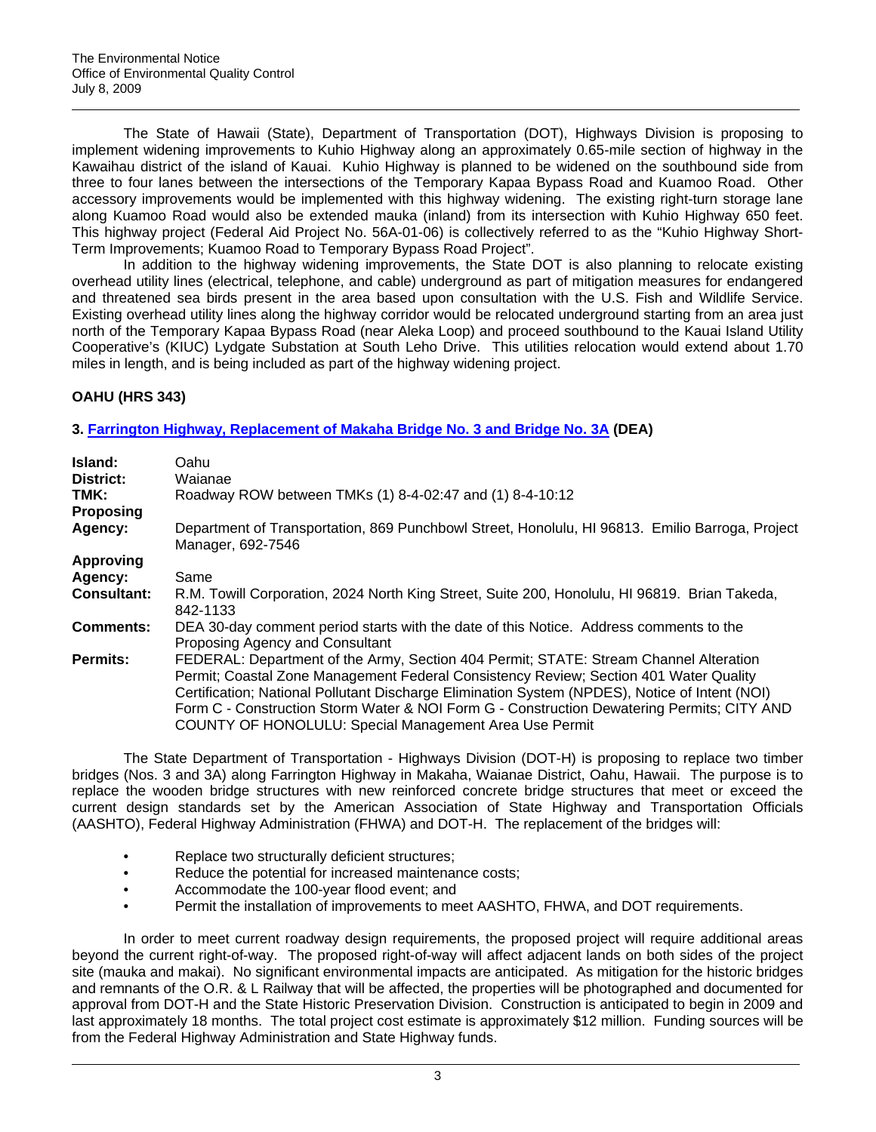The State of Hawaii (State), Department of Transportation (DOT), Highways Division is proposing to implement widening improvements to Kuhio Highway along an approximately 0.65-mile section of highway in the Kawaihau district of the island of Kauai. Kuhio Highway is planned to be widened on the southbound side from three to four lanes between the intersections of the Temporary Kapaa Bypass Road and Kuamoo Road. Other accessory improvements would be implemented with this highway widening. The existing right-turn storage lane along Kuamoo Road would also be extended mauka (inland) from its intersection with Kuhio Highway 650 feet. This highway project (Federal Aid Project No. 56A-01-06) is collectively referred to as the "Kuhio Highway Short-Term Improvements; Kuamoo Road to Temporary Bypass Road Project".

In addition to the highway widening improvements, the State DOT is also planning to relocate existing overhead utility lines (electrical, telephone, and cable) underground as part of mitigation measures for endangered and threatened sea birds present in the area based upon consultation with the U.S. Fish and Wildlife Service. Existing overhead utility lines along the highway corridor would be relocated underground starting from an area just north of the Temporary Kapaa Bypass Road (near Aleka Loop) and proceed southbound to the Kauai Island Utility Cooperative's (KIUC) Lydgate Substation at South Leho Drive. This utilities relocation would extend about 1.70 miles in length, and is being included as part of the highway widening project.

# **OAHU (HRS 343)**

# **3. [Farrington Highway, Replacement of Makaha Bridge No. 3 and Bridge No. 3A](http://oeqc.doh.hawaii.gov/Shared%20Documents/EA_and_EIS_Online_Library/Oahu/2000s/2009-07-08-OA-DEA-Farrington-Hwy-Replacement-Makaha-Bridges.pdf) (DEA)**

| Island:<br>District:<br>TMK:<br><b>Proposing</b> | Oahu<br>Waianae<br>Roadway ROW between TMKs (1) 8-4-02:47 and (1) 8-4-10:12                                                                                                                                                                                                                                                                                                                                                              |
|--------------------------------------------------|------------------------------------------------------------------------------------------------------------------------------------------------------------------------------------------------------------------------------------------------------------------------------------------------------------------------------------------------------------------------------------------------------------------------------------------|
| Agency:                                          | Department of Transportation, 869 Punchbowl Street, Honolulu, HI 96813. Emilio Barroga, Project<br>Manager, 692-7546                                                                                                                                                                                                                                                                                                                     |
| <b>Approving</b>                                 |                                                                                                                                                                                                                                                                                                                                                                                                                                          |
| Agency:                                          | Same                                                                                                                                                                                                                                                                                                                                                                                                                                     |
| <b>Consultant:</b>                               | R.M. Towill Corporation, 2024 North King Street, Suite 200, Honolulu, HI 96819. Brian Takeda,<br>842-1133                                                                                                                                                                                                                                                                                                                                |
| <b>Comments:</b>                                 | DEA 30-day comment period starts with the date of this Notice. Address comments to the<br>Proposing Agency and Consultant                                                                                                                                                                                                                                                                                                                |
| <b>Permits:</b>                                  | FEDERAL: Department of the Army, Section 404 Permit; STATE: Stream Channel Alteration<br>Permit; Coastal Zone Management Federal Consistency Review; Section 401 Water Quality<br>Certification; National Pollutant Discharge Elimination System (NPDES), Notice of Intent (NOI)<br>Form C - Construction Storm Water & NOI Form G - Construction Dewatering Permits; CITY AND<br>COUNTY OF HONOLULU: Special Management Area Use Permit |

The State Department of Transportation - Highways Division (DOT-H) is proposing to replace two timber bridges (Nos. 3 and 3A) along Farrington Highway in Makaha, Waianae District, Oahu, Hawaii. The purpose is to replace the wooden bridge structures with new reinforced concrete bridge structures that meet or exceed the current design standards set by the American Association of State Highway and Transportation Officials (AASHTO), Federal Highway Administration (FHWA) and DOT-H. The replacement of the bridges will:

- Replace two structurally deficient structures;
- Reduce the potential for increased maintenance costs;
- Accommodate the 100-year flood event; and
- Permit the installation of improvements to meet AASHTO, FHWA, and DOT requirements.

In order to meet current roadway design requirements, the proposed project will require additional areas beyond the current right-of-way. The proposed right-of-way will affect adjacent lands on both sides of the project site (mauka and makai). No significant environmental impacts are anticipated. As mitigation for the historic bridges and remnants of the O.R. & L Railway that will be affected, the properties will be photographed and documented for approval from DOT-H and the State Historic Preservation Division. Construction is anticipated to begin in 2009 and last approximately 18 months. The total project cost estimate is approximately \$12 million. Funding sources will be from the Federal Highway Administration and State Highway funds.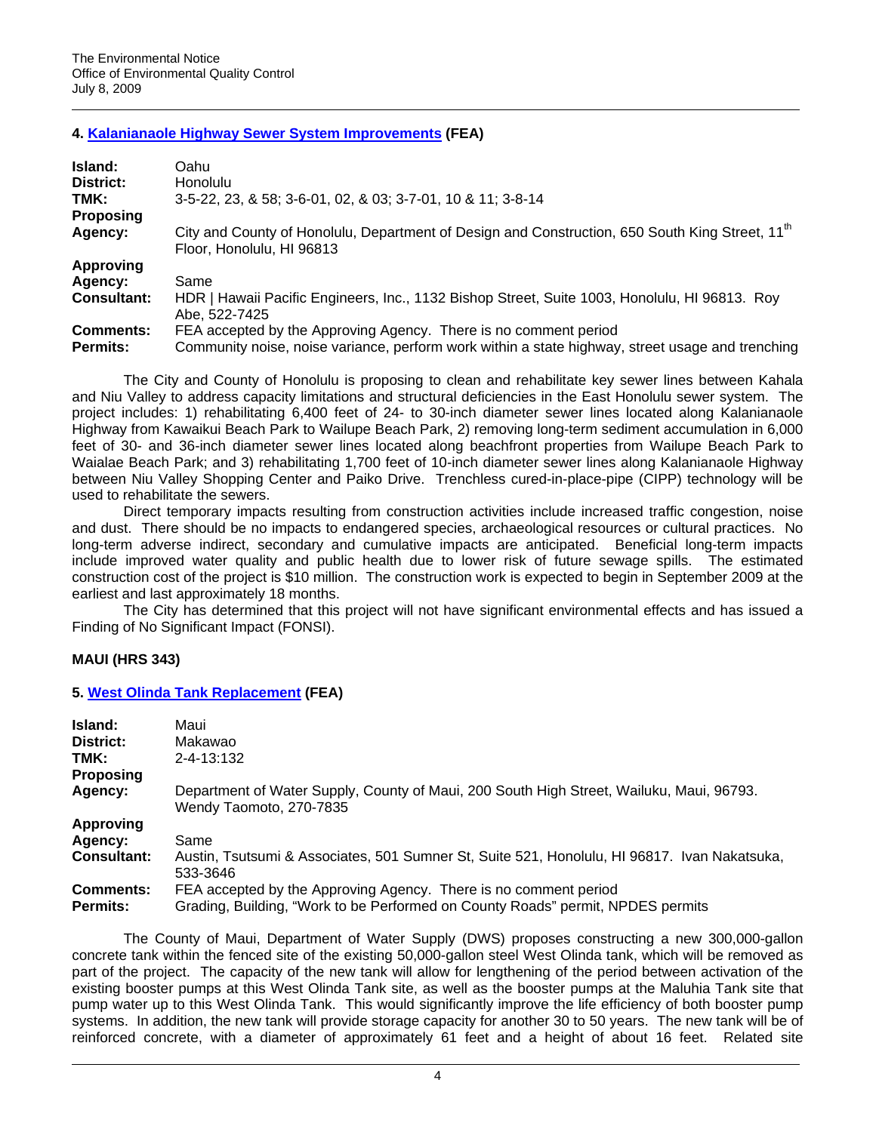# **4. [Kalanianaole Highway Sewer System Improvements](http://oeqc.doh.hawaii.gov/Shared%20Documents/EA_and_EIS_Online_Library/Oahu/2000s/2009-07-08-OA-FEA-Kalanianaole-Hwy-Sewer-Imp.pdf) (FEA)**

| Island:            | Oahu                                                                                                                                     |
|--------------------|------------------------------------------------------------------------------------------------------------------------------------------|
| District:          | <b>Honolulu</b>                                                                                                                          |
| TMK:               | 3-5-22, 23, & 58; 3-6-01, 02, & 03; 3-7-01, 10 & 11; 3-8-14                                                                              |
| <b>Proposing</b>   |                                                                                                                                          |
| Agency:            | City and County of Honolulu, Department of Design and Construction, 650 South King Street, 11 <sup>th</sup><br>Floor, Honolulu, HI 96813 |
| <b>Approving</b>   |                                                                                                                                          |
| Agency:            | Same                                                                                                                                     |
| <b>Consultant:</b> | HDR   Hawaii Pacific Engineers, Inc., 1132 Bishop Street, Suite 1003, Honolulu, HI 96813. Roy<br>Abe, 522-7425                           |
| <b>Comments:</b>   | FEA accepted by the Approving Agency. There is no comment period                                                                         |
| <b>Permits:</b>    | Community noise, noise variance, perform work within a state highway, street usage and trenching                                         |

The City and County of Honolulu is proposing to clean and rehabilitate key sewer lines between Kahala and Niu Valley to address capacity limitations and structural deficiencies in the East Honolulu sewer system. The project includes: 1) rehabilitating 6,400 feet of 24- to 30-inch diameter sewer lines located along Kalanianaole Highway from Kawaikui Beach Park to Wailupe Beach Park, 2) removing long-term sediment accumulation in 6,000 feet of 30- and 36-inch diameter sewer lines located along beachfront properties from Wailupe Beach Park to Waialae Beach Park; and 3) rehabilitating 1,700 feet of 10-inch diameter sewer lines along Kalanianaole Highway between Niu Valley Shopping Center and Paiko Drive. Trenchless cured-in-place-pipe (CIPP) technology will be used to rehabilitate the sewers.

Direct temporary impacts resulting from construction activities include increased traffic congestion, noise and dust. There should be no impacts to endangered species, archaeological resources or cultural practices. No long-term adverse indirect, secondary and cumulative impacts are anticipated. Beneficial long-term impacts include improved water quality and public health due to lower risk of future sewage spills. The estimated construction cost of the project is \$10 million. The construction work is expected to begin in September 2009 at the earliest and last approximately 18 months.

The City has determined that this project will not have significant environmental effects and has issued a Finding of No Significant Impact (FONSI).

# **MAUI (HRS 343)**

#### **5. [West Olinda Tank Replacement](http://oeqc.doh.hawaii.gov/Shared%20Documents/EA_and_EIS_Online_Library/Maui/2000s/2009-07-08-MA-FEA-West-Olinda-Tank-Replacement.pdf) (FEA)**

| Island:            | Maui                                                                                                                |
|--------------------|---------------------------------------------------------------------------------------------------------------------|
| District:          | Makawao                                                                                                             |
| TMK:               | 2-4-13:132                                                                                                          |
| <b>Proposing</b>   |                                                                                                                     |
| Agency:            | Department of Water Supply, County of Maui, 200 South High Street, Wailuku, Maui, 96793.<br>Wendy Taomoto, 270-7835 |
| Approving          |                                                                                                                     |
| Agency:            | Same                                                                                                                |
| <b>Consultant:</b> | Austin, Tsutsumi & Associates, 501 Sumner St, Suite 521, Honolulu, HI 96817. Ivan Nakatsuka,<br>533-3646            |
| <b>Comments:</b>   | FEA accepted by the Approving Agency. There is no comment period                                                    |
| <b>Permits:</b>    | Grading, Building, "Work to be Performed on County Roads" permit, NPDES permits                                     |

The County of Maui, Department of Water Supply (DWS) proposes constructing a new 300,000-gallon concrete tank within the fenced site of the existing 50,000-gallon steel West Olinda tank, which will be removed as part of the project. The capacity of the new tank will allow for lengthening of the period between activation of the existing booster pumps at this West Olinda Tank site, as well as the booster pumps at the Maluhia Tank site that pump water up to this West Olinda Tank. This would significantly improve the life efficiency of both booster pump systems. In addition, the new tank will provide storage capacity for another 30 to 50 years. The new tank will be of reinforced concrete, with a diameter of approximately 61 feet and a height of about 16 feet. Related site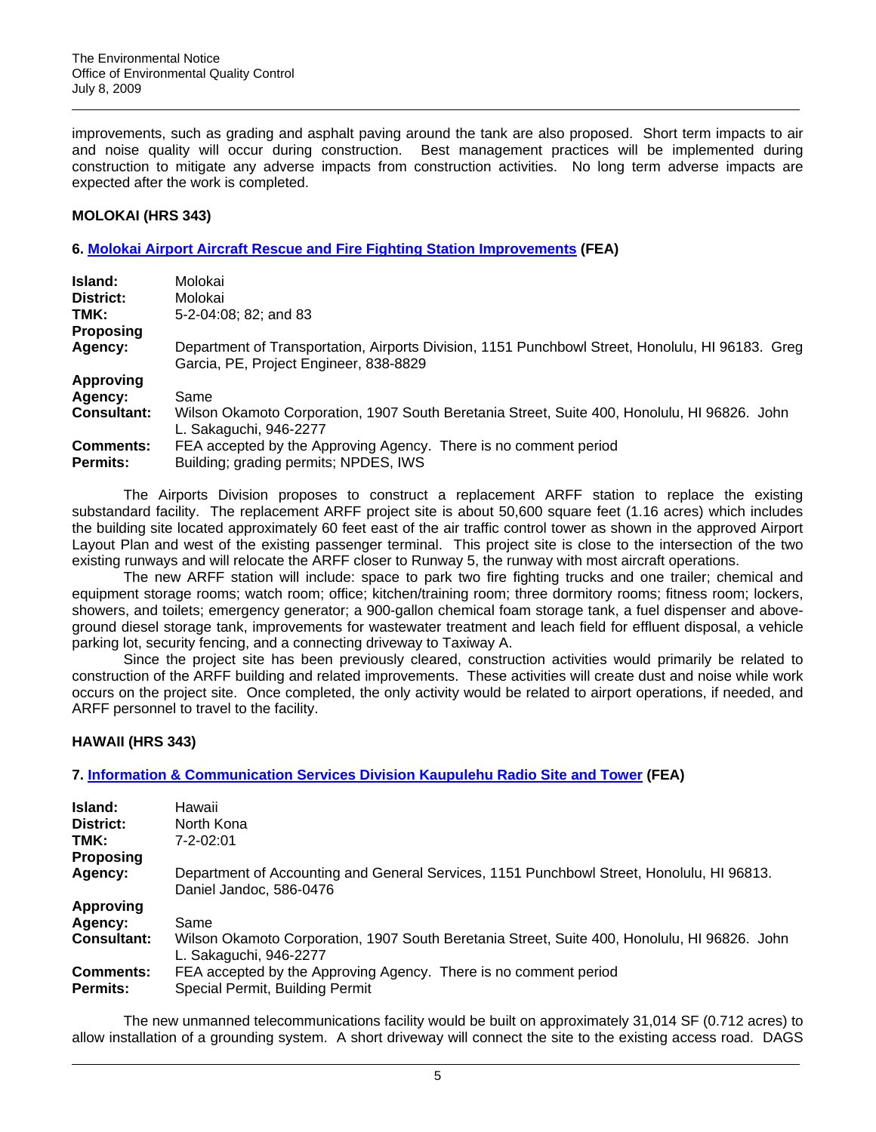improvements, such as grading and asphalt paving around the tank are also proposed. Short term impacts to air and noise quality will occur during construction. Best management practices will be implemented during construction to mitigate any adverse impacts from construction activities. No long term adverse impacts are expected after the work is completed.

### **MOLOKAI (HRS 343)**

### **6. [Molokai Airport Aircraft Rescue and Fire Fighting Station Improvements](http://oeqc.doh.hawaii.gov/Shared%20Documents/EA_and_EIS_Online_Library/Molokai/2000s/2009-07-08-MO-FEA-Airport-Aircraft-Rescue-Fire-Fighting.pdf) (FEA)**

| Island:            | Molokai                                                                                                                                    |
|--------------------|--------------------------------------------------------------------------------------------------------------------------------------------|
| District:          | Molokai                                                                                                                                    |
| TMK:               | 5-2-04:08; 82; and 83                                                                                                                      |
| <b>Proposing</b>   |                                                                                                                                            |
| Agency:            | Department of Transportation, Airports Division, 1151 Punchbowl Street, Honolulu, HI 96183. Greg<br>Garcia, PE, Project Engineer, 838-8829 |
| <b>Approving</b>   |                                                                                                                                            |
| Agency:            | Same                                                                                                                                       |
| <b>Consultant:</b> | Wilson Okamoto Corporation, 1907 South Beretania Street, Suite 400, Honolulu, HI 96826. John<br>L. Sakaguchi, 946-2277                     |
| <b>Comments:</b>   | FEA accepted by the Approving Agency. There is no comment period                                                                           |
| <b>Permits:</b>    | Building; grading permits; NPDES, IWS                                                                                                      |

The Airports Division proposes to construct a replacement ARFF station to replace the existing substandard facility. The replacement ARFF project site is about 50,600 square feet (1.16 acres) which includes the building site located approximately 60 feet east of the air traffic control tower as shown in the approved Airport Layout Plan and west of the existing passenger terminal. This project site is close to the intersection of the two existing runways and will relocate the ARFF closer to Runway 5, the runway with most aircraft operations.

The new ARFF station will include: space to park two fire fighting trucks and one trailer; chemical and equipment storage rooms; watch room; office; kitchen/training room; three dormitory rooms; fitness room; lockers, showers, and toilets; emergency generator; a 900-gallon chemical foam storage tank, a fuel dispenser and aboveground diesel storage tank, improvements for wastewater treatment and leach field for effluent disposal, a vehicle parking lot, security fencing, and a connecting driveway to Taxiway A.

Since the project site has been previously cleared, construction activities would primarily be related to construction of the ARFF building and related improvements. These activities will create dust and noise while work occurs on the project site. Once completed, the only activity would be related to airport operations, if needed, and ARFF personnel to travel to the facility.

# **HAWAII (HRS 343)**

# **7. [Information & Communication Services Division Kaupulehu Radio Site and Tower](http://oeqc.doh.hawaii.gov/Shared%20Documents/EA_and_EIS_Online_Library/Hawaii/2000s/2009-07-08-HA-FEA-Kaupulehu-Radio-Site.pdf) (FEA)**

| Island:                      | Hawaii                                                                                                                 |
|------------------------------|------------------------------------------------------------------------------------------------------------------------|
| District:                    | North Kona                                                                                                             |
| TMK:                         | $7 - 2 - 02:01$                                                                                                        |
| <b>Proposing</b>             |                                                                                                                        |
| Agency:                      | Department of Accounting and General Services, 1151 Punchbowl Street, Honolulu, HI 96813.<br>Daniel Jandoc, 586-0476   |
| <b>Approving</b>             |                                                                                                                        |
| Agency:                      | Same                                                                                                                   |
| <b>Consultant:</b>           | Wilson Okamoto Corporation, 1907 South Beretania Street, Suite 400, Honolulu, HI 96826. John<br>L. Sakaguchi, 946-2277 |
| <b>Comments:</b><br>Permits: | FEA accepted by the Approving Agency. There is no comment period<br>Special Permit, Building Permit                    |

The new unmanned telecommunications facility would be built on approximately 31,014 SF (0.712 acres) to allow installation of a grounding system. A short driveway will connect the site to the existing access road. DAGS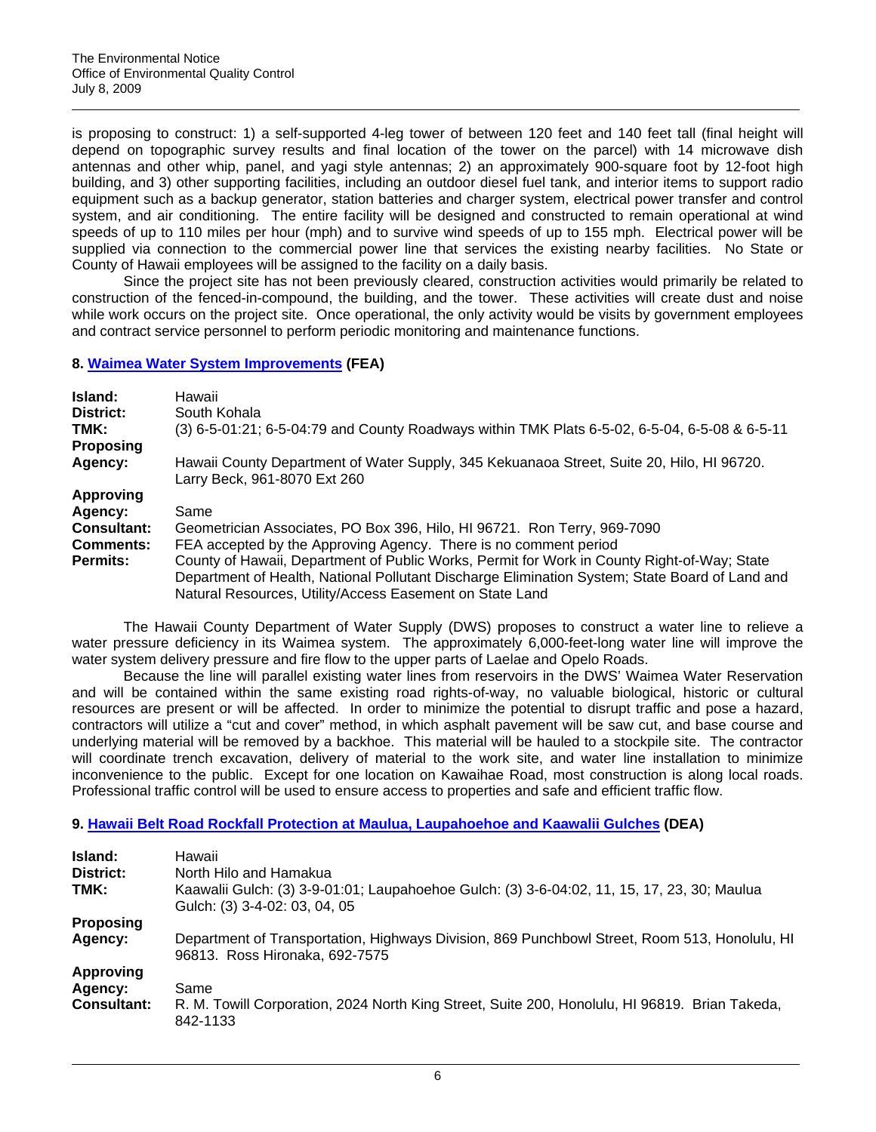is proposing to construct: 1) a self-supported 4-leg tower of between 120 feet and 140 feet tall (final height will depend on topographic survey results and final location of the tower on the parcel) with 14 microwave dish antennas and other whip, panel, and yagi style antennas; 2) an approximately 900-square foot by 12-foot high building, and 3) other supporting facilities, including an outdoor diesel fuel tank, and interior items to support radio equipment such as a backup generator, station batteries and charger system, electrical power transfer and control system, and air conditioning. The entire facility will be designed and constructed to remain operational at wind speeds of up to 110 miles per hour (mph) and to survive wind speeds of up to 155 mph. Electrical power will be supplied via connection to the commercial power line that services the existing nearby facilities. No State or County of Hawaii employees will be assigned to the facility on a daily basis.

Since the project site has not been previously cleared, construction activities would primarily be related to construction of the fenced-in-compound, the building, and the tower. These activities will create dust and noise while work occurs on the project site. Once operational, the only activity would be visits by government employees and contract service personnel to perform periodic monitoring and maintenance functions.

### **8. [Waimea Water System Improvements](http://oeqc.doh.hawaii.gov/Shared%20Documents/EA_and_EIS_Online_Library/Hawaii/2000s/2009-07-08-HA-FEA-Waimea-Water-System.pdf) (FEA)**

| Island:            | Hawaii                                                                                                                    |
|--------------------|---------------------------------------------------------------------------------------------------------------------------|
| District:<br>TMK:  | South Kohala<br>(3) 6-5-01:21; 6-5-04:79 and County Roadways within TMK Plats 6-5-02, 6-5-04, 6-5-08 & 6-5-11             |
| <b>Proposing</b>   |                                                                                                                           |
| Agency:            | Hawaii County Department of Water Supply, 345 Kekuanaoa Street, Suite 20, Hilo, HI 96720.<br>Larry Beck, 961-8070 Ext 260 |
| <b>Approving</b>   |                                                                                                                           |
| Agency:            | Same                                                                                                                      |
| <b>Consultant:</b> | Geometrician Associates, PO Box 396, Hilo, HI 96721. Ron Terry, 969-7090                                                  |
| <b>Comments:</b>   | FEA accepted by the Approving Agency. There is no comment period                                                          |
| <b>Permits:</b>    | County of Hawaii, Department of Public Works, Permit for Work in County Right-of-Way; State                               |
|                    | Department of Health, National Pollutant Discharge Elimination System; State Board of Land and                            |
|                    | Natural Resources, Utility/Access Easement on State Land                                                                  |

The Hawaii County Department of Water Supply (DWS) proposes to construct a water line to relieve a water pressure deficiency in its Waimea system. The approximately 6,000-feet-long water line will improve the water system delivery pressure and fire flow to the upper parts of Laelae and Opelo Roads.

Because the line will parallel existing water lines from reservoirs in the DWS' Waimea Water Reservation and will be contained within the same existing road rights-of-way, no valuable biological, historic or cultural resources are present or will be affected. In order to minimize the potential to disrupt traffic and pose a hazard, contractors will utilize a "cut and cover" method, in which asphalt pavement will be saw cut, and base course and underlying material will be removed by a backhoe. This material will be hauled to a stockpile site. The contractor will coordinate trench excavation, delivery of material to the work site, and water line installation to minimize inconvenience to the public. Except for one location on Kawaihae Road, most construction is along local roads. Professional traffic control will be used to ensure access to properties and safe and efficient traffic flow.

# **9. [Hawaii Belt Road Rockfall Protection at Maulua, Laupahoehoe and Kaawalii Gulches](http://oeqc.doh.hawaii.gov/Shared%20Documents/EA_and_EIS_Online_Library/Hawaii/2000s/2009-07-08-HA-DEA-Hawaii-Belt-Rd-Rockfall-Protection-Maulua.pdf) (DEA)**

| Island:<br>District:<br>TMK: | Hawaii<br>North Hilo and Hamakua<br>Kaawalii Gulch: (3) 3-9-01:01; Laupahoehoe Gulch: (3) 3-6-04:02, 11, 15, 17, 23, 30; Maulua<br>Gulch: (3) 3-4-02: 03, 04, 05 |
|------------------------------|------------------------------------------------------------------------------------------------------------------------------------------------------------------|
| <b>Proposing</b>             | Department of Transportation, Highways Division, 869 Punchbowl Street, Room 513, Honolulu, HI                                                                    |
| Agency:                      | 96813. Ross Hironaka, 692-7575                                                                                                                                   |
| <b>Approving</b>             | Same                                                                                                                                                             |
| Agency:                      | R. M. Towill Corporation, 2024 North King Street, Suite 200, Honolulu, HI 96819. Brian Takeda,                                                                   |
| <b>Consultant:</b>           | 842-1133                                                                                                                                                         |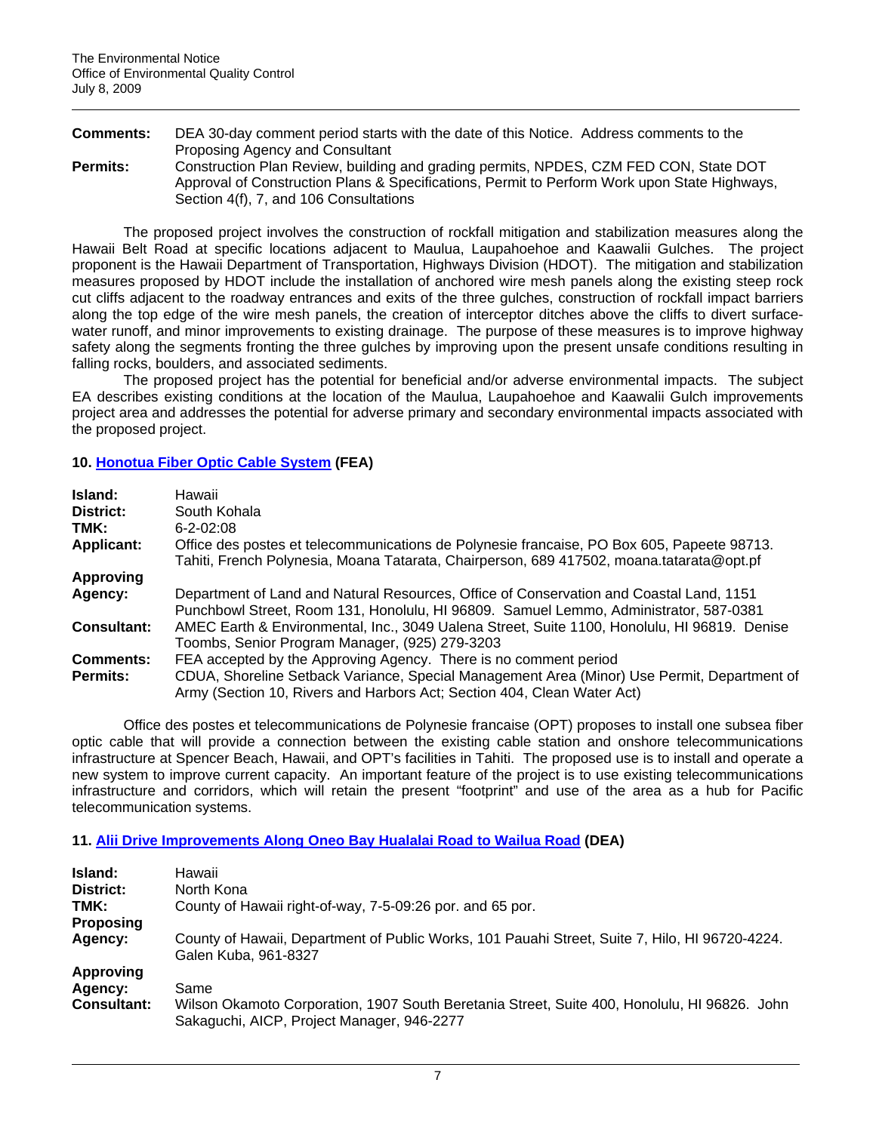**Comments:** DEA 30-day comment period starts with the date of this Notice. Address comments to the Proposing Agency and Consultant **Permits:** Construction Plan Review, building and grading permits, NPDES, CZM FED CON, State DOT Approval of Construction Plans & Specifications, Permit to Perform Work upon State Highways, Section 4(f), 7, and 106 Consultations

The proposed project involves the construction of rockfall mitigation and stabilization measures along the Hawaii Belt Road at specific locations adjacent to Maulua, Laupahoehoe and Kaawalii Gulches. The project proponent is the Hawaii Department of Transportation, Highways Division (HDOT). The mitigation and stabilization measures proposed by HDOT include the installation of anchored wire mesh panels along the existing steep rock cut cliffs adjacent to the roadway entrances and exits of the three gulches, construction of rockfall impact barriers along the top edge of the wire mesh panels, the creation of interceptor ditches above the cliffs to divert surfacewater runoff, and minor improvements to existing drainage. The purpose of these measures is to improve highway safety along the segments fronting the three gulches by improving upon the present unsafe conditions resulting in falling rocks, boulders, and associated sediments.

The proposed project has the potential for beneficial and/or adverse environmental impacts. The subject EA describes existing conditions at the location of the Maulua, Laupahoehoe and Kaawalii Gulch improvements project area and addresses the potential for adverse primary and secondary environmental impacts associated with the proposed project.

# **10. [Honotua Fiber Optic Cable System](http://oeqc.doh.hawaii.gov/Shared%20Documents/EA_and_EIS_Online_Library/Hawaii/2000s/2009-07-08-HA-FEA-Honotua-Fiber-Optic-Cable.pdf) (FEA)**

| Island:            | Hawaii                                                                                       |
|--------------------|----------------------------------------------------------------------------------------------|
| District:          | South Kohala                                                                                 |
| TMK:               | $6 - 2 - 02:08$                                                                              |
| <b>Applicant:</b>  | Office des postes et telecommunications de Polynesie francaise, PO Box 605, Papeete 98713.   |
|                    | Tahiti, French Polynesia, Moana Tatarata, Chairperson, 689 417502, moana.tatarata@opt.pf     |
| <b>Approving</b>   |                                                                                              |
| Agency:            | Department of Land and Natural Resources, Office of Conservation and Coastal Land, 1151      |
|                    | Punchbowl Street, Room 131, Honolulu, HI 96809. Samuel Lemmo, Administrator, 587-0381        |
| <b>Consultant:</b> | AMEC Earth & Environmental, Inc., 3049 Ualena Street, Suite 1100, Honolulu, HI 96819. Denise |
|                    | Toombs, Senior Program Manager, (925) 279-3203                                               |
| <b>Comments:</b>   | FEA accepted by the Approving Agency. There is no comment period                             |
| <b>Permits:</b>    | CDUA, Shoreline Setback Variance, Special Management Area (Minor) Use Permit, Department of  |
|                    | Army (Section 10, Rivers and Harbors Act; Section 404, Clean Water Act)                      |

Office des postes et telecommunications de Polynesie francaise (OPT) proposes to install one subsea fiber optic cable that will provide a connection between the existing cable station and onshore telecommunications infrastructure at Spencer Beach, Hawaii, and OPT's facilities in Tahiti. The proposed use is to install and operate a new system to improve current capacity. An important feature of the project is to use existing telecommunications infrastructure and corridors, which will retain the present "footprint" and use of the area as a hub for Pacific telecommunication systems.

# **11. [Alii Drive Improvements Along Oneo Bay Hualalai Road to Wailua Road](http://oeqc.doh.hawaii.gov/Shared%20Documents/EA_and_EIS_Online_Library/Hawaii/2000s/2009-07-08-HA-DEA-Alii-Drive-Imp-Hualalai-Rd.pdf) (DEA)**

| Island:            | Hawaii                                                                                                                                     |
|--------------------|--------------------------------------------------------------------------------------------------------------------------------------------|
| District:          | North Kona                                                                                                                                 |
| TMK:               | County of Hawaii right-of-way, 7-5-09:26 por. and 65 por.                                                                                  |
| <b>Proposing</b>   |                                                                                                                                            |
| Agency:            | County of Hawaii, Department of Public Works, 101 Pauahi Street, Suite 7, Hilo, HI 96720-4224.<br>Galen Kuba, 961-8327                     |
| <b>Approving</b>   |                                                                                                                                            |
| Agency:            | Same                                                                                                                                       |
| <b>Consultant:</b> | Wilson Okamoto Corporation, 1907 South Beretania Street, Suite 400, Honolulu, HI 96826. John<br>Sakaguchi, AICP, Project Manager, 946-2277 |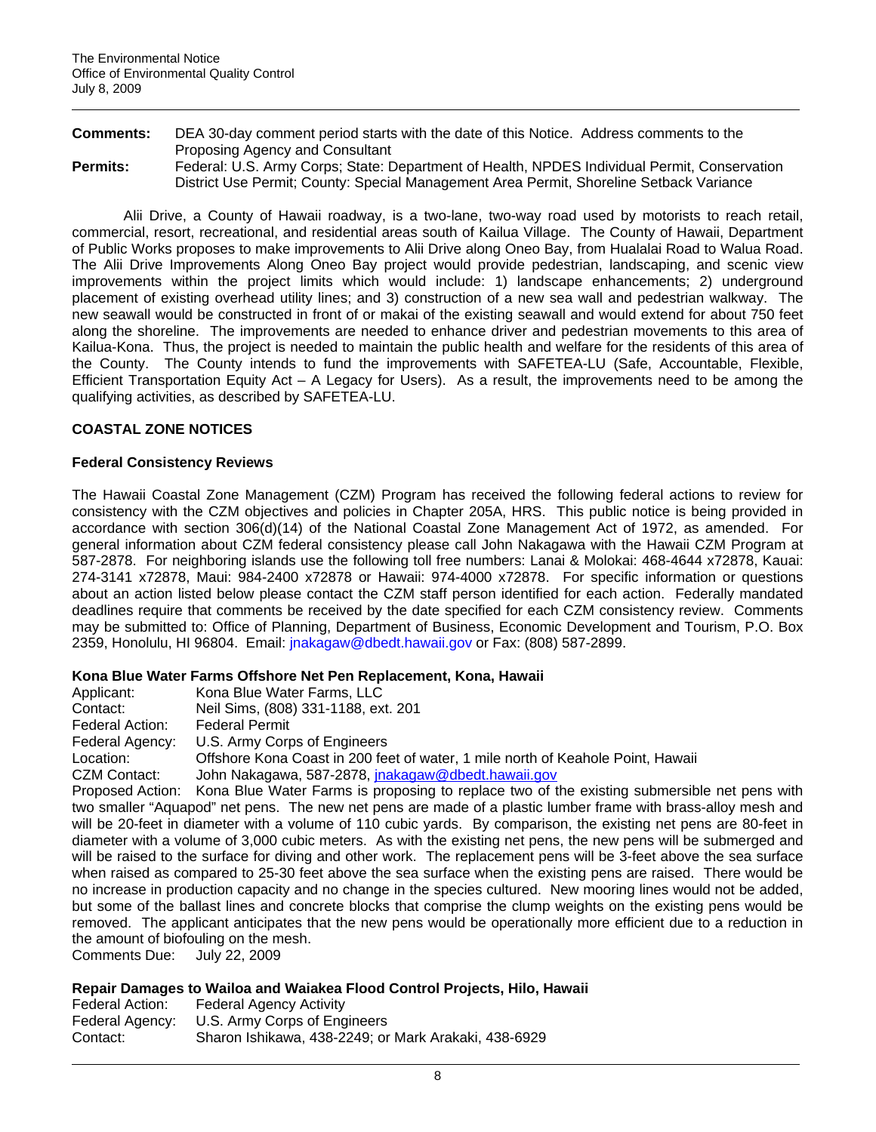| <b>Comments:</b> | DEA 30-day comment period starts with the date of this Notice. Address comments to the       |
|------------------|----------------------------------------------------------------------------------------------|
|                  | Proposing Agency and Consultant                                                              |
| <b>Permits:</b>  | Federal: U.S. Army Corps; State: Department of Health, NPDES Individual Permit, Conservation |
|                  | District Use Permit: County: Special Management Area Permit. Shoreline Setback Variance      |

Alii Drive, a County of Hawaii roadway, is a two-lane, two-way road used by motorists to reach retail, commercial, resort, recreational, and residential areas south of Kailua Village. The County of Hawaii, Department of Public Works proposes to make improvements to Alii Drive along Oneo Bay, from Hualalai Road to Walua Road. The Alii Drive Improvements Along Oneo Bay project would provide pedestrian, landscaping, and scenic view improvements within the project limits which would include: 1) landscape enhancements; 2) underground placement of existing overhead utility lines; and 3) construction of a new sea wall and pedestrian walkway. The new seawall would be constructed in front of or makai of the existing seawall and would extend for about 750 feet along the shoreline. The improvements are needed to enhance driver and pedestrian movements to this area of Kailua-Kona. Thus, the project is needed to maintain the public health and welfare for the residents of this area of the County. The County intends to fund the improvements with SAFETEA-LU (Safe, Accountable, Flexible, Efficient Transportation Equity Act – A Legacy for Users). As a result, the improvements need to be among the qualifying activities, as described by SAFETEA-LU.

# **COASTAL ZONE NOTICES**

#### **Federal Consistency Reviews**

The Hawaii Coastal Zone Management (CZM) Program has received the following federal actions to review for consistency with the CZM objectives and policies in Chapter 205A, HRS. This public notice is being provided in accordance with section 306(d)(14) of the National Coastal Zone Management Act of 1972, as amended. For general information about CZM federal consistency please call John Nakagawa with the Hawaii CZM Program at 587-2878. For neighboring islands use the following toll free numbers: Lanai & Molokai: 468-4644 x72878, Kauai: 274-3141 x72878, Maui: 984-2400 x72878 or Hawaii: 974-4000 x72878. For specific information or questions about an action listed below please contact the CZM staff person identified for each action. Federally mandated deadlines require that comments be received by the date specified for each CZM consistency review. Comments may be submitted to: Office of Planning, Department of Business, Economic Development and Tourism, P.O. Box 2359, Honolulu, HI 96804. Email: [jnakagaw@dbedt.hawaii.gov](mailto:jnakagaw@dbedt.hawaii.gov) or Fax: (808) 587-2899.

#### **Kona Blue Water Farms Offshore Net Pen Replacement, Kona, Hawaii**

| Applicant:      | Kona Blue Water Farms, LLC                                                                                         |
|-----------------|--------------------------------------------------------------------------------------------------------------------|
| Contact:        | Neil Sims, (808) 331-1188, ext. 201                                                                                |
| Federal Action: | <b>Federal Permit</b>                                                                                              |
| Federal Agency: | U.S. Army Corps of Engineers                                                                                       |
| Location:       | Offshore Kona Coast in 200 feet of water, 1 mile north of Keahole Point, Hawaii                                    |
| CZM Contact:    | John Nakagawa, 587-2878, jnakagaw@dbedt.hawaii.gov                                                                 |
|                 | Proposed Action: Kona Blue Water Farms is proposing to replace two of the existing submersible net pens with       |
|                 | two smaller "Aquapod" net pens. The new net pens are made of a plastic lumber frame with brass-alloy mesh and      |
|                 | will be 20-feet in diameter with a volume of 110 cubic yards. By comparison, the existing net pens are 80-feet in  |
|                 | diameter with a volume of 3,000 cubic meters. As with the existing net pens, the new pens will be submerged and    |
|                 | will be raised to the surface for diving and other work. The replacement pens will be 3-feet above the sea surface |
|                 | when raised as compared to 25-30 feet above the sea surface when the existing pens are raised. There would be      |
|                 | no increase in production capacity and no change in the species cultured. New mooring lines would not be added,    |
|                 | but some of the ballast lines and concrete blocks that comprise the clump weights on the existing pens would be    |
|                 | removed. The applicant anticipates that the new pens would be operationally more efficient due to a reduction in   |
|                 | the amount of biofouling on the mesh.                                                                              |
|                 |                                                                                                                    |

Comments Due: July 22, 2009

#### **Repair Damages to Wailoa and Waiakea Flood Control Projects, Hilo, Hawaii**

| Federal Action: | <b>Federal Agency Activity</b>                       |
|-----------------|------------------------------------------------------|
| Federal Agency: | U.S. Army Corps of Engineers                         |
| Contact:        | Sharon Ishikawa, 438-2249; or Mark Arakaki, 438-6929 |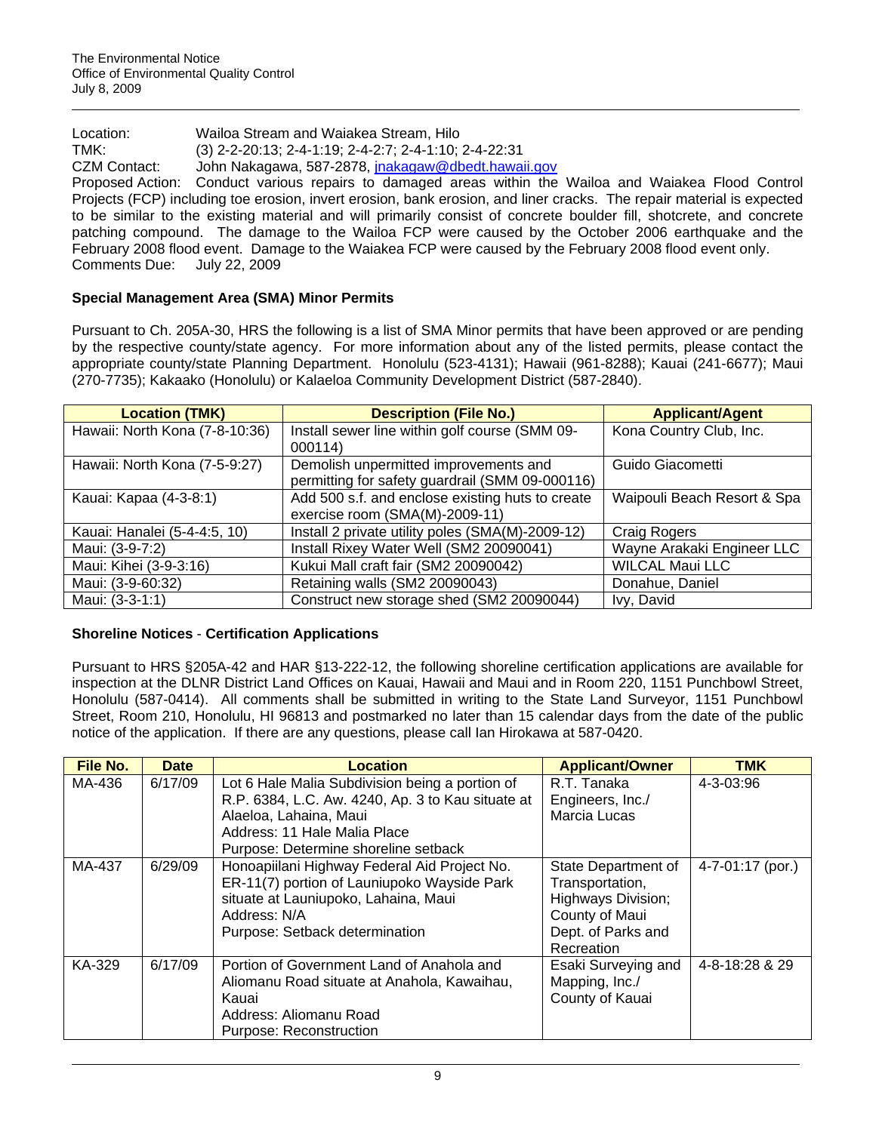Location: Wailoa Stream and Waiakea Stream, Hilo TMK: (3) 2-2-20:13; 2-4-1:19; 2-4-2:7; 2-4-1:10; 2-4-22:31 CZM Contact: John Nakagawa, 587-2878, [jnakagaw@dbedt.hawaii.gov](mailto:jnakagaw@dbedt.hawaii.gov) Proposed Action: Conduct various repairs to damaged areas within the Wailoa and Waiakea Flood Control Projects (FCP) including toe erosion, invert erosion, bank erosion, and liner cracks. The repair material is expected to be similar to the existing material and will primarily consist of concrete boulder fill, shotcrete, and concrete patching compound. The damage to the Wailoa FCP were caused by the October 2006 earthquake and the February 2008 flood event. Damage to the Waiakea FCP were caused by the February 2008 flood event only. Comments Due: July 22, 2009

# **Special Management Area (SMA) Minor Permits**

Pursuant to Ch. 205A-30, HRS the following is a list of SMA Minor permits that have been approved or are pending by the respective county/state agency. For more information about any of the listed permits, please contact the appropriate county/state Planning Department. Honolulu (523-4131); Hawaii (961-8288); Kauai (241-6677); Maui (270-7735); Kakaako (Honolulu) or Kalaeloa Community Development District (587-2840).

| <b>Location (TMK)</b>          | <b>Description (File No.)</b>                                                            | <b>Applicant/Agent</b>      |
|--------------------------------|------------------------------------------------------------------------------------------|-----------------------------|
| Hawaii: North Kona (7-8-10:36) | Install sewer line within golf course (SMM 09-<br>000114)                                | Kona Country Club, Inc.     |
| Hawaii: North Kona (7-5-9:27)  | Demolish unpermitted improvements and<br>permitting for safety guardrail (SMM 09-000116) | Guido Giacometti            |
| Kauai: Kapaa (4-3-8:1)         | Add 500 s.f. and enclose existing huts to create<br>exercise room (SMA(M)-2009-11)       | Waipouli Beach Resort & Spa |
| Kauai: Hanalei (5-4-4:5, 10)   | Install 2 private utility poles (SMA(M)-2009-12)                                         | Craig Rogers                |
| Maui: (3-9-7:2)                | Install Rixey Water Well (SM2 20090041)                                                  | Wayne Arakaki Engineer LLC  |
| Maui: Kihei (3-9-3:16)         | Kukui Mall craft fair (SM2 20090042)                                                     | <b>WILCAL Maui LLC</b>      |
| Maui: (3-9-60:32)              | Retaining walls (SM2 20090043)                                                           | Donahue, Daniel             |
| Maui: (3-3-1:1)                | Construct new storage shed (SM2 20090044)                                                | Ivy, David                  |

# **Shoreline Notices** - **Certification Applications**

Pursuant to HRS §205A-42 and HAR §13-222-12, the following shoreline certification applications are available for inspection at the DLNR District Land Offices on Kauai, Hawaii and Maui and in Room 220, 1151 Punchbowl Street, Honolulu (587-0414). All comments shall be submitted in writing to the State Land Surveyor, 1151 Punchbowl Street, Room 210, Honolulu, HI 96813 and postmarked no later than 15 calendar days from the date of the public notice of the application. If there are any questions, please call Ian Hirokawa at 587-0420.

| File No. | <b>Date</b> | Location                                                                                                                                                                                                                      | <b>Applicant/Owner</b>                                                                                             | <b>TMK</b>             |
|----------|-------------|-------------------------------------------------------------------------------------------------------------------------------------------------------------------------------------------------------------------------------|--------------------------------------------------------------------------------------------------------------------|------------------------|
| MA-436   | 6/17/09     | Lot 6 Hale Malia Subdivision being a portion of<br>R.P. 6384, L.C. Aw. 4240, Ap. 3 to Kau situate at<br>Alaeloa, Lahaina, Maui<br>Address: 11 Hale Malia Place                                                                | R.T. Tanaka<br>Engineers, Inc./<br>Marcia Lucas                                                                    | 4-3-03:96              |
| MA-437   | 6/29/09     | Purpose: Determine shoreline setback<br>Honoapiilani Highway Federal Aid Project No.<br>ER-11(7) portion of Launiupoko Wayside Park<br>situate at Launiupoko, Lahaina, Maui<br>Address: N/A<br>Purpose: Setback determination | State Department of<br>Transportation,<br>Highways Division;<br>County of Maui<br>Dept. of Parks and<br>Recreation | $4 - 7 - 01:17$ (por.) |
| KA-329   | 6/17/09     | Portion of Government Land of Anahola and<br>Aliomanu Road situate at Anahola, Kawaihau,<br>Kauai<br>Address: Aliomanu Road<br>Purpose: Reconstruction                                                                        | Esaki Surveying and<br>Mapping, Inc./<br>County of Kauai                                                           | 4-8-18:28 & 29         |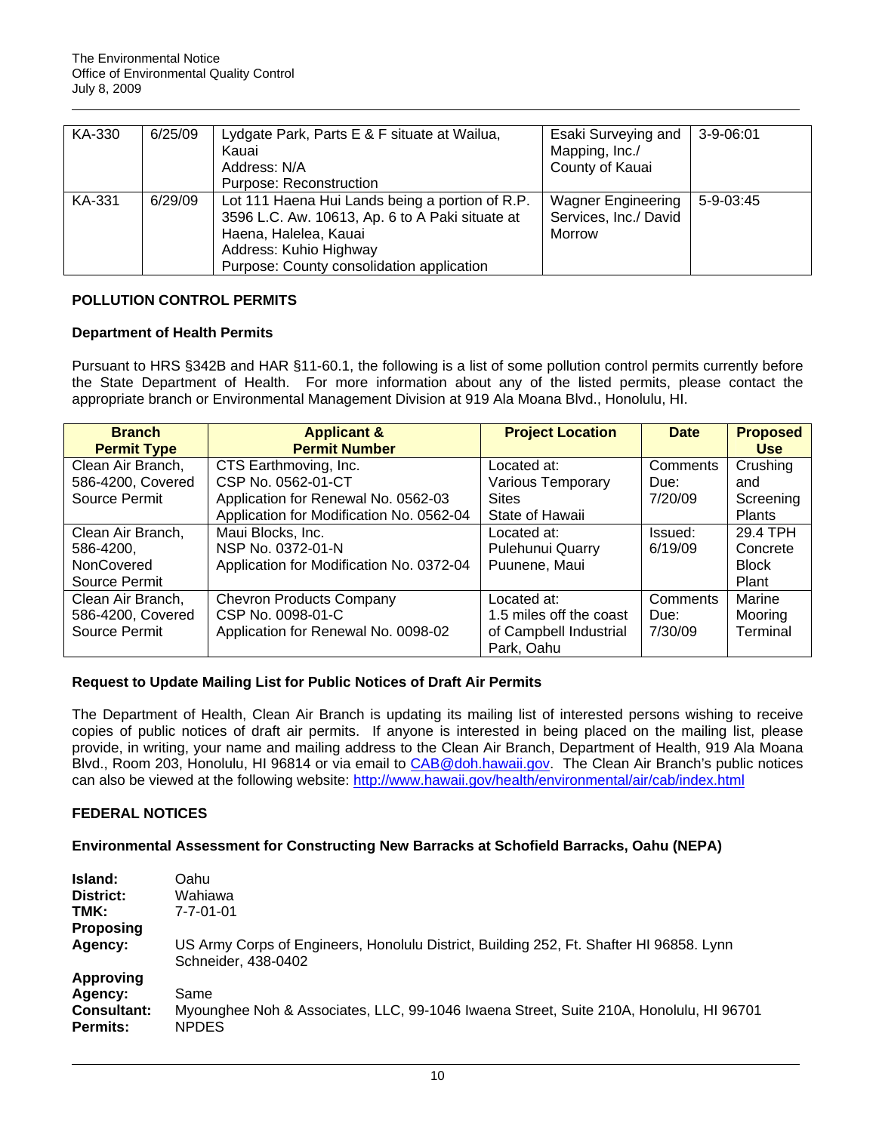| KA-330 | 6/25/09 | Lydgate Park, Parts E & F situate at Wailua,<br>Kauai<br>Address: N/A<br>Purpose: Reconstruction                                                                                                   | Esaki Surveying and<br>Mapping, Inc./<br>County of Kauai     | 3-9-06:01 |
|--------|---------|----------------------------------------------------------------------------------------------------------------------------------------------------------------------------------------------------|--------------------------------------------------------------|-----------|
| KA-331 | 6/29/09 | Lot 111 Haena Hui Lands being a portion of R.P.<br>3596 L.C. Aw. 10613, Ap. 6 to A Paki situate at<br>Haena, Halelea, Kauai<br>Address: Kuhio Highway<br>Purpose: County consolidation application | <b>Wagner Engineering</b><br>Services, Inc./ David<br>Morrow | 5-9-03:45 |

# **POLLUTION CONTROL PERMITS**

# **Department of Health Permits**

Pursuant to HRS §342B and HAR §11-60.1, the following is a list of some pollution control permits currently before the State Department of Health. For more information about any of the listed permits, please contact the appropriate branch or Environmental Management Division at 919 Ala Moana Blvd., Honolulu, HI.

| <b>Branch</b>      | <b>Applicant &amp;</b>                   | <b>Project Location</b> | <b>Date</b> | <b>Proposed</b> |
|--------------------|------------------------------------------|-------------------------|-------------|-----------------|
| <b>Permit Type</b> | <b>Permit Number</b>                     |                         |             | <b>Use</b>      |
| Clean Air Branch,  | CTS Earthmoving, Inc.                    | Located at:             | Comments    | Crushing        |
| 586-4200, Covered  | CSP No. 0562-01-CT                       | Various Temporary       | Due:        | and             |
| Source Permit      | Application for Renewal No. 0562-03      | <b>Sites</b>            | 7/20/09     | Screening       |
|                    | Application for Modification No. 0562-04 | State of Hawaii         |             | <b>Plants</b>   |
| Clean Air Branch,  | Maui Blocks, Inc.                        | Located at:             | Issued:     | 29.4 TPH        |
| 586-4200,          | NSP No. 0372-01-N                        | Pulehunui Quarry        | 6/19/09     | Concrete        |
| <b>NonCovered</b>  | Application for Modification No. 0372-04 | Puunene, Maui           |             | <b>Block</b>    |
| Source Permit      |                                          |                         |             | Plant           |
| Clean Air Branch,  | <b>Chevron Products Company</b>          | Located at:             | Comments    | Marine          |
| 586-4200, Covered  | CSP No. 0098-01-C                        | 1.5 miles off the coast | Due:        | Mooring         |
| Source Permit      | Application for Renewal No. 0098-02      | of Campbell Industrial  | 7/30/09     | Terminal        |
|                    |                                          | Park, Oahu              |             |                 |

# **Request to Update Mailing List for Public Notices of Draft Air Permits**

The Department of Health, Clean Air Branch is updating its mailing list of interested persons wishing to receive copies of public notices of draft air permits. If anyone is interested in being placed on the mailing list, please provide, in writing, your name and mailing address to the Clean Air Branch, Department of Health, 919 Ala Moana Blvd., Room 203, Honolulu, HI 96814 or via email to [CAB@doh.hawaii.gov.](mailto:CAB@doh.hawaii.gov) The Clean Air Branch's public notices can also be viewed at the following website:<http://www.hawaii.gov/health/environmental/air/cab/index.html>

# **FEDERAL NOTICES**

# **Environmental Assessment for Constructing New Barracks at Schofield Barracks, Oahu (NEPA)**

| Island:                        | Oahu                                                                                                           |
|--------------------------------|----------------------------------------------------------------------------------------------------------------|
| District:                      | Wahiawa                                                                                                        |
| TMK:                           | $7 - 7 - 01 - 01$                                                                                              |
| <b>Proposing</b>               |                                                                                                                |
| Agency:                        | US Army Corps of Engineers, Honolulu District, Building 252, Ft. Shafter HI 96858. Lynn<br>Schneider, 438-0402 |
| Approving                      |                                                                                                                |
| Agency:                        | Same                                                                                                           |
| <b>Consultant:</b><br>Permits: | Myounghee Noh & Associates, LLC, 99-1046 Iwaena Street, Suite 210A, Honolulu, HI 96701<br><b>NPDES</b>         |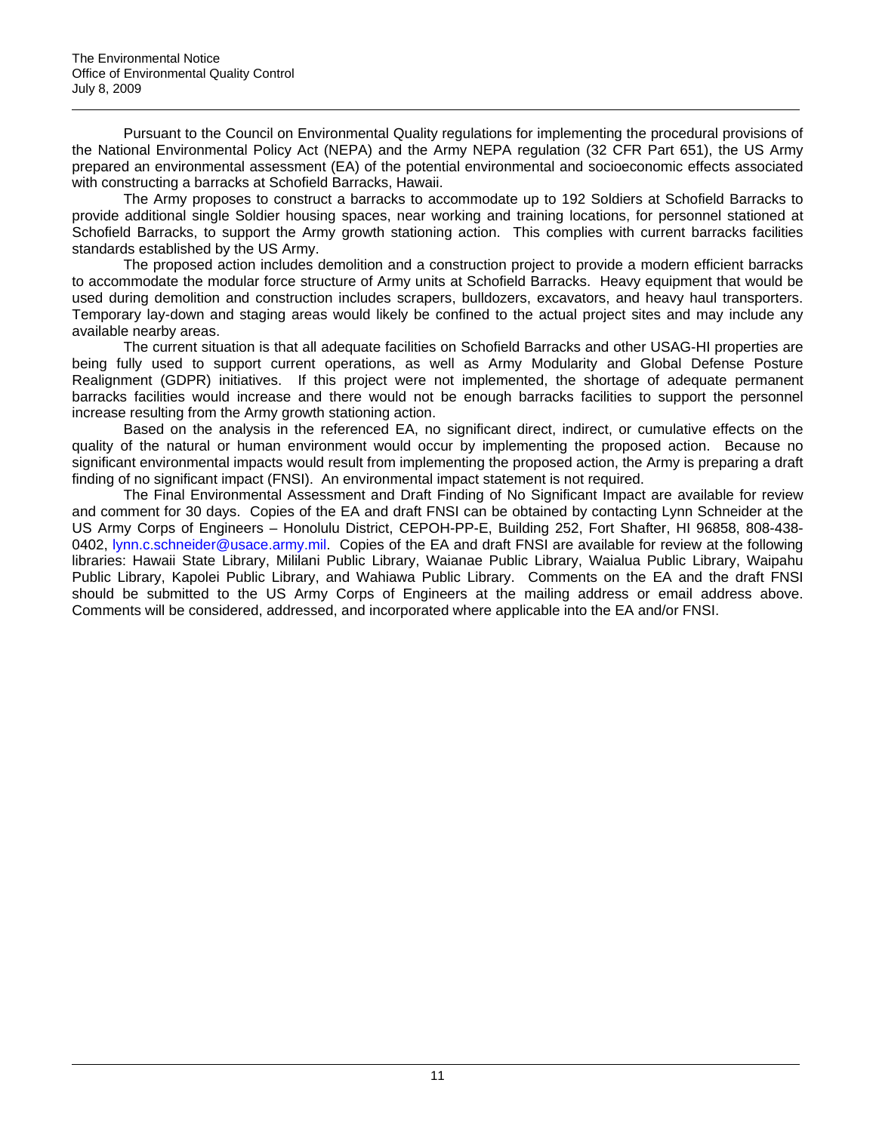Pursuant to the Council on Environmental Quality regulations for implementing the procedural provisions of the National Environmental Policy Act (NEPA) and the Army NEPA regulation (32 CFR Part 651), the US Army prepared an environmental assessment (EA) of the potential environmental and socioeconomic effects associated with constructing a barracks at Schofield Barracks, Hawaii.

The Army proposes to construct a barracks to accommodate up to 192 Soldiers at Schofield Barracks to provide additional single Soldier housing spaces, near working and training locations, for personnel stationed at Schofield Barracks, to support the Army growth stationing action. This complies with current barracks facilities standards established by the US Army.

The proposed action includes demolition and a construction project to provide a modern efficient barracks to accommodate the modular force structure of Army units at Schofield Barracks. Heavy equipment that would be used during demolition and construction includes scrapers, bulldozers, excavators, and heavy haul transporters. Temporary lay-down and staging areas would likely be confined to the actual project sites and may include any available nearby areas.

The current situation is that all adequate facilities on Schofield Barracks and other USAG-HI properties are being fully used to support current operations, as well as Army Modularity and Global Defense Posture Realignment (GDPR) initiatives. If this project were not implemented, the shortage of adequate permanent barracks facilities would increase and there would not be enough barracks facilities to support the personnel increase resulting from the Army growth stationing action.

Based on the analysis in the referenced EA, no significant direct, indirect, or cumulative effects on the quality of the natural or human environment would occur by implementing the proposed action. Because no significant environmental impacts would result from implementing the proposed action, the Army is preparing a draft finding of no significant impact (FNSI). An environmental impact statement is not required.

The Final Environmental Assessment and Draft Finding of No Significant Impact are available for review and comment for 30 days. Copies of the EA and draft FNSI can be obtained by contacting Lynn Schneider at the US Army Corps of Engineers – Honolulu District, CEPOH-PP-E, Building 252, Fort Shafter, HI 96858, 808-438- 0402, lynn.c.schneider@usace.army.mil. Copies of the EA and draft FNSI are available for review at the following libraries: Hawaii State Library, Mililani Public Library, Waianae Public Library, Waialua Public Library, Waipahu Public Library, Kapolei Public Library, and Wahiawa Public Library. Comments on the EA and the draft FNSI should be submitted to the US Army Corps of Engineers at the mailing address or email address above. Comments will be considered, addressed, and incorporated where applicable into the EA and/or FNSI.